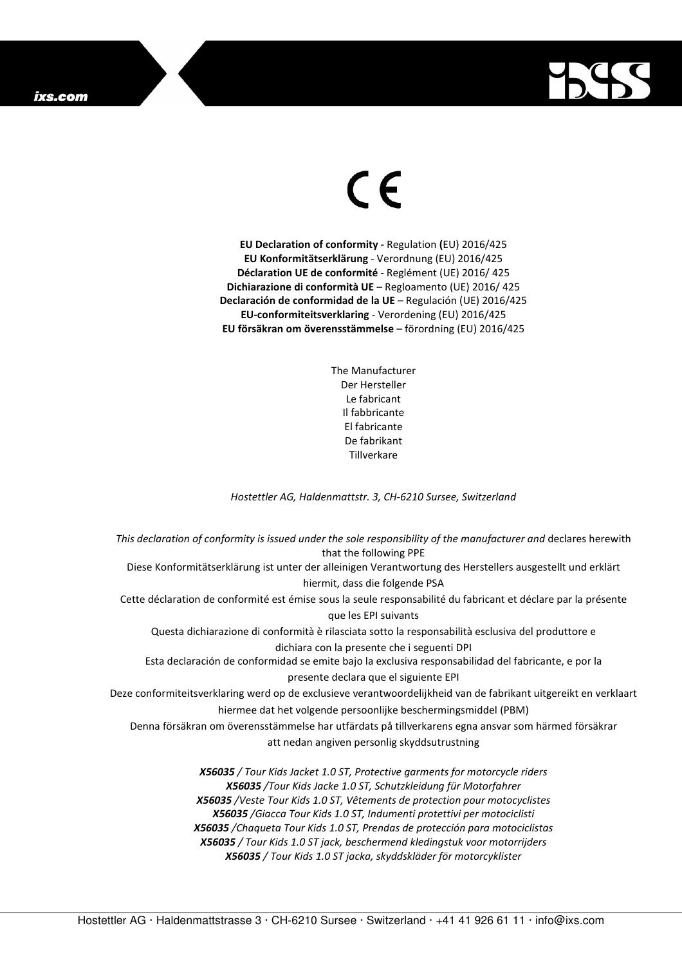## ixs.com



## $\in$

**EU Declaration of conformity -** Regulation **(**EU) 2016/425 **EU Konformitätserklärung** - Verordnung (EU) 2016/425 **Déclaration UE de conformité** - Reglément (UE) 2016/ 425 **Dichiarazione di conformità UE** – Regloamento (UE) 2016/ 425 **Declaración de conformidad de la UE** – Regulación (UE) 2016/425 **EU-conformiteitsverklaring** - Verordening (EU) 2016/425 **EU försäkran om överensstämmelse** – förordning (EU) 2016/425

> The Manufacturer Der Hersteller Le fabricant Il fabbricante El fabricante De fabrikant **Tillverkare**

*Hostettler AG, Haldenmattstr. 3, CH-6210 Sursee, Switzerland* 

*This declaration of conformity is issued under the sole responsibility of the manufacturer and* declares herewith that the following PPE Diese Konformitätserklärung ist unter der alleinigen Verantwortung des Herstellers ausgestellt und erklärt hiermit, dass die folgende PSA Cette déclaration de conformité est émise sous la seule responsabilité du fabricant et déclare par la présente que les EPI suivants Questa dichiarazione di conformità è rilasciata sotto la responsabilità esclusiva del produttore e dichiara con la presente che i seguenti DPI Esta declaración de conformidad se emite bajo la exclusiva responsabilidad del fabricante, e por la presente declara que el siguiente EPI Deze conformiteitsverklaring werd op de exclusieve verantwoordelijkheid van de fabrikant uitgereikt en verklaart hiermee dat het volgende persoonlijke beschermingsmiddel (PBM) Denna försäkran om överensstämmelse har utfärdats på tillverkarens egna ansvar som härmed försäkrar att nedan angiven personlig skyddsutrustning *X56035 / Tour Kids Jacket 1.0 ST, Protective garments for motorcycle riders X56035 /Tour Kids Jacke 1.0 ST, Schutzkleidung für Motorfahrer X56035 /Veste Tour Kids 1.0 ST, Vêtements de protection pour motocyclistes X56035 /Giacca Tour Kids 1.0 ST, Indumenti protettivi per motociclisti X56035 /Chaqueta Tour Kids 1.0 ST, Prendas de protección para motociclistas* 

> *X56035 / Tour Kids 1.0 ST jack, beschermend kledingstuk voor motorrijders X56035 / Tour Kids 1.0 ST jacka, skyddskläder för motorcyklister*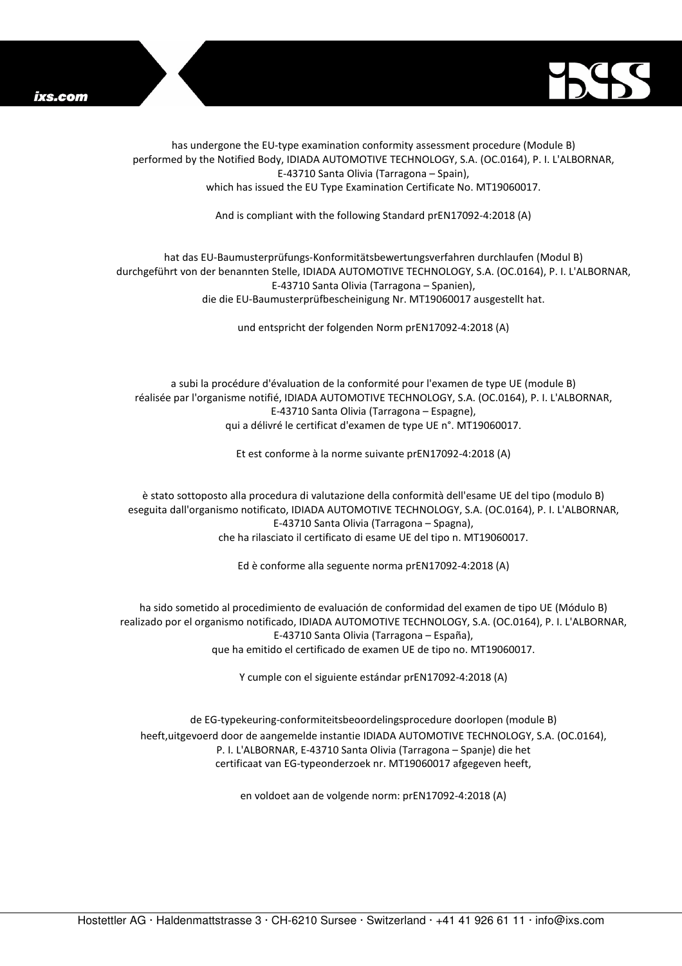



has undergone the EU-type examination conformity assessment procedure (Module B) performed by the Notified Body, IDIADA AUTOMOTIVE TECHNOLOGY, S.A. (OC.0164), P. I. L'ALBORNAR, E-43710 Santa Olivia (Tarragona – Spain), which has issued the EU Type Examination Certificate No. MT19060017.

And is compliant with the following Standard prEN17092-4:2018 (A)

## hat das EU-Baumusterprüfungs-Konformitätsbewertungsverfahren durchlaufen (Modul B) durchgeführt von der benannten Stelle, IDIADA AUTOMOTIVE TECHNOLOGY, S.A. (OC.0164), P. I. L'ALBORNAR, E-43710 Santa Olivia (Tarragona – Spanien), die die EU-Baumusterprüfbescheinigung Nr. MT19060017 ausgestellt hat.

und entspricht der folgenden Norm prEN17092-4:2018 (A)

a subi la procédure d'évaluation de la conformité pour l'examen de type UE (module B) réalisée par l'organisme notifié, IDIADA AUTOMOTIVE TECHNOLOGY, S.A. (OC.0164), P. I. L'ALBORNAR, E-43710 Santa Olivia (Tarragona – Espagne), qui a délivré le certificat d'examen de type UE n°. MT19060017.

Et est conforme à la norme suivante prEN17092-4:2018 (A)

è stato sottoposto alla procedura di valutazione della conformità dell'esame UE del tipo (modulo B) eseguita dall'organismo notificato, IDIADA AUTOMOTIVE TECHNOLOGY, S.A. (OC.0164), P. I. L'ALBORNAR, E-43710 Santa Olivia (Tarragona – Spagna), che ha rilasciato il certificato di esame UE del tipo n. MT19060017.

Ed è conforme alla seguente norma prEN17092-4:2018 (A)

ha sido sometido al procedimiento de evaluación de conformidad del examen de tipo UE (Módulo B) realizado por el organismo notificado, IDIADA AUTOMOTIVE TECHNOLOGY, S.A. (OC.0164), P. I. L'ALBORNAR, E-43710 Santa Olivia (Tarragona – España), que ha emitido el certificado de examen UE de tipo no. MT19060017.

Y cumple con el siguiente estándar prEN17092-4:2018 (A)

de EG-typekeuring-conformiteitsbeoordelingsprocedure doorlopen (module B) heeft,uitgevoerd door de aangemelde instantie IDIADA AUTOMOTIVE TECHNOLOGY, S.A. (OC.0164), P. I. L'ALBORNAR, E-43710 Santa Olivia (Tarragona – Spanje) die het certificaat van EG-typeonderzoek nr. MT19060017 afgegeven heeft,

en voldoet aan de volgende norm: prEN17092-4:2018 (A)